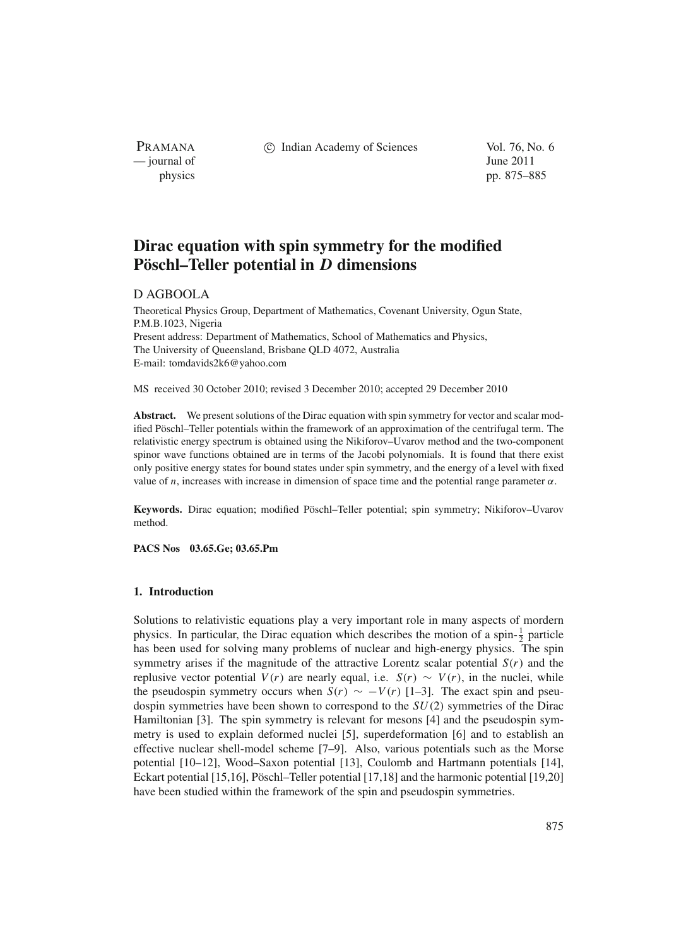PRAMANA — journal of June 2011

c Indian Academy of Sciences Vol. 76, No. 6

physics pp. 875–885

# **Dirac equation with spin symmetry for the modified Pöschl–Teller potential in** *D* **dimensions**

# D AGBOOLA

Theoretical Physics Group, Department of Mathematics, Covenant University, Ogun State, P.M.B.1023, Nigeria Present address: Department of Mathematics, School of Mathematics and Physics, The University of Queensland, Brisbane QLD 4072, Australia E-mail: tomdavids2k6@yahoo.com

MS received 30 October 2010; revised 3 December 2010; accepted 29 December 2010

**Abstract.** We present solutions of the Dirac equation with spin symmetry for vector and scalar modified Pöschl–Teller potentials within the framework of an approximation of the centrifugal term. The relativistic energy spectrum is obtained using the Nikiforov–Uvarov method and the two-component spinor wave functions obtained are in terms of the Jacobi polynomials. It is found that there exist only positive energy states for bound states under spin symmetry, and the energy of a level with fixed value of *n*, increases with increase in dimension of space time and the potential range parameter  $\alpha$ .

**Keywords.** Dirac equation; modified Pöschl–Teller potential; spin symmetry; Nikiforov–Uvarov method.

**PACS Nos 03.65.Ge; 03.65.Pm**

# **1. Introduction**

Solutions to relativistic equations play a very important role in many aspects of mordern physics. In particular, the Dirac equation which describes the motion of a spin- $\frac{1}{2}$  particle has been used for solving many problems of nuclear and high-energy physics. The spin symmetry arises if the magnitude of the attractive Lorentz scalar potential *S*(*r*) and the replusive vector potential  $V(r)$  are nearly equal, i.e.  $S(r) \sim V(r)$ , in the nuclei, while the pseudospin symmetry occurs when  $S(r) \sim -V(r)$  [1–3]. The exact spin and pseudospin symmetries have been shown to correspond to the *SU*(2) symmetries of the Dirac Hamiltonian [3]. The spin symmetry is relevant for mesons [4] and the pseudospin symmetry is used to explain deformed nuclei [5], superdeformation [6] and to establish an effective nuclear shell-model scheme [7–9]. Also, various potentials such as the Morse potential [10–12], Wood–Saxon potential [13], Coulomb and Hartmann potentials [14], Eckart potential [15,16], Pöschl–Teller potential [17,18] and the harmonic potential [19,20] have been studied within the framework of the spin and pseudospin symmetries.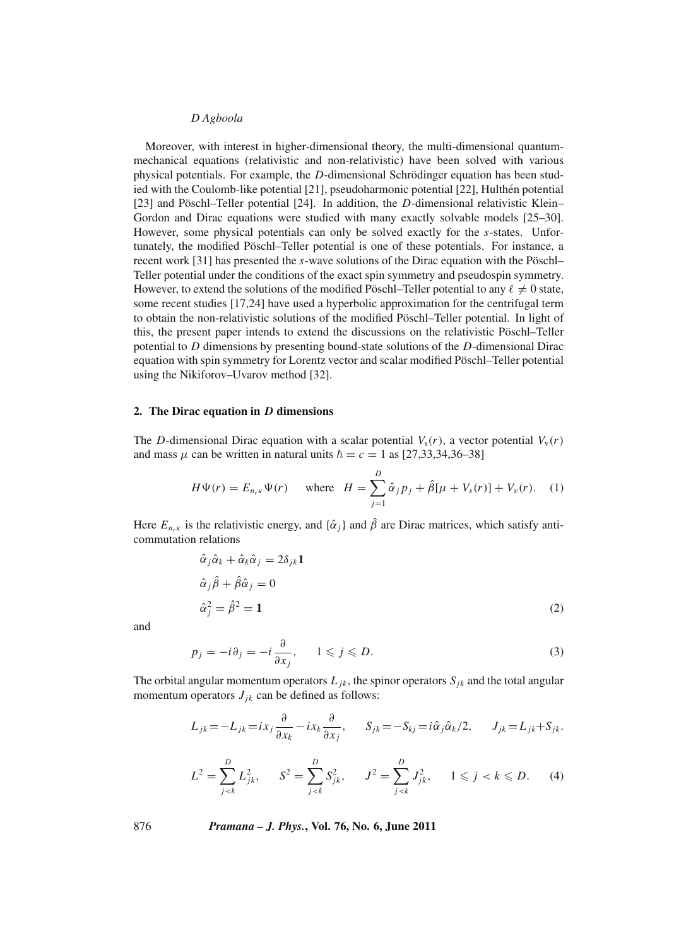Moreover, with interest in higher-dimensional theory, the multi-dimensional quantummechanical equations (relativistic and non-relativistic) have been solved with various physical potentials. For example, the *D*-dimensional Schrödinger equation has been studied with the Coulomb-like potential [21], pseudoharmonic potential [22], Hulthén potential [23] and Pöschl–Teller potential [24]. In addition, the *D*-dimensional relativistic Klein– Gordon and Dirac equations were studied with many exactly solvable models [25–30]. However, some physical potentials can only be solved exactly for the *s*-states. Unfortunately, the modified Pöschl–Teller potential is one of these potentials. For instance, a recent work [31] has presented the *s*-wave solutions of the Dirac equation with the Pöschl– Teller potential under the conditions of the exact spin symmetry and pseudospin symmetry. However, to extend the solutions of the modified Pöschl–Teller potential to any  $\ell \neq 0$  state, some recent studies [17,24] have used a hyperbolic approximation for the centrifugal term to obtain the non-relativistic solutions of the modified Pöschl–Teller potential. In light of this, the present paper intends to extend the discussions on the relativistic Pöschl–Teller potential to *D* dimensions by presenting bound-state solutions of the *D*-dimensional Dirac equation with spin symmetry for Lorentz vector and scalar modified Pöschl–Teller potential using the Nikiforov–Uvarov method [32].

## **2. The Dirac equation in** *D* **dimensions**

The *D*-dimensional Dirac equation with a scalar potential  $V_s(r)$ , a vector potential  $V_v(r)$ and mass  $\mu$  can be written in natural units  $\hbar = c = 1$  as [27,33,34,36–38]

$$
H\Psi(r) = E_{n_r\kappa}\Psi(r) \quad \text{where} \quad H = \sum_{j=1}^{D} \hat{\alpha}_j p_j + \hat{\beta}[\mu + V_s(r)] + V_v(r). \quad (1)
$$

Here  $E_{n_r\kappa}$  is the relativistic energy, and  $\{\hat{\alpha}_j\}$  and  $\hat{\beta}$  are Dirac matrices, which satisfy anticommutation relations

$$
\hat{\alpha}_j \hat{\alpha}_k + \hat{\alpha}_k \hat{\alpha}_j = 2\delta_{jk} \mathbf{1}
$$
  
\n
$$
\hat{\alpha}_j \hat{\beta} + \hat{\beta} \hat{\alpha}_j = 0
$$
  
\n
$$
\hat{\alpha}_j^2 = \hat{\beta}^2 = \mathbf{1}
$$
\n(2)

and

$$
p_j = -i\partial_j = -i\frac{\partial}{\partial x_j}, \qquad 1 \leqslant j \leqslant D. \tag{3}
$$

The orbital angular momentum operators  $L_{ik}$ , the spinor operators  $S_{ik}$  and the total angular momentum operators  $J_{ik}$  can be defined as follows:

$$
L_{jk} = -L_{jk} = ix_j \frac{\partial}{\partial x_k} - ix_k \frac{\partial}{\partial x_j}, \qquad S_{jk} = -S_{kj} = i \hat{\alpha}_j \hat{\alpha}_k / 2, \qquad J_{jk} = L_{jk} + S_{jk}.
$$

$$
L^{2} = \sum_{j < k}^{D} L_{jk}^{2}, \qquad S^{2} = \sum_{j < k}^{D} S_{jk}^{2}, \qquad J^{2} = \sum_{j < k}^{D} J_{jk}^{2}, \qquad 1 \leqslant j < k \leqslant D. \tag{4}
$$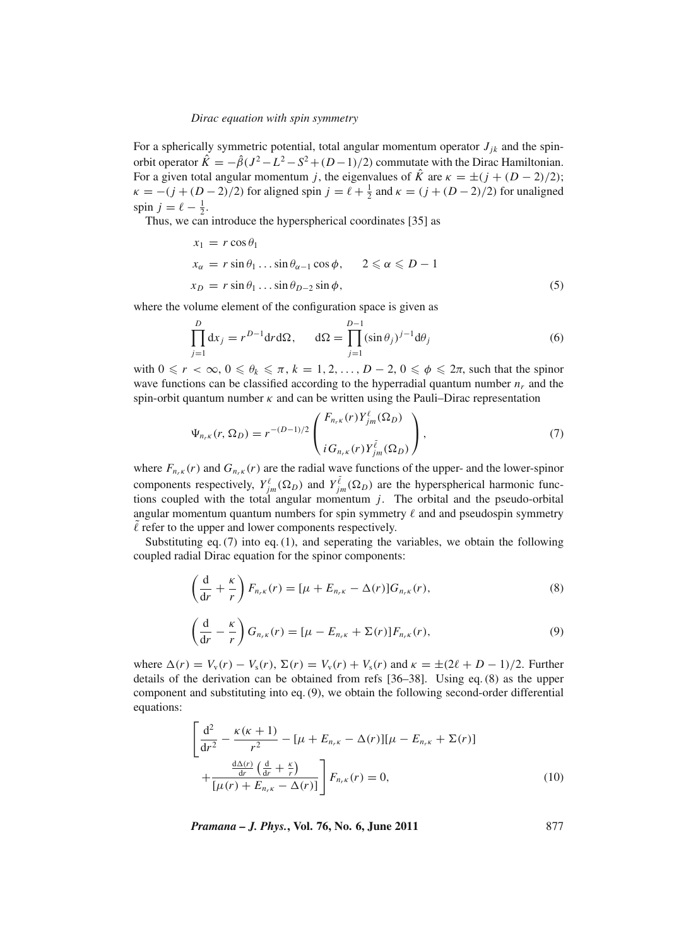For a spherically symmetric potential, total angular momentum operator  $J_{ik}$  and the spinorbit operator  $\hat{K} = -\hat{\beta}(J^2 - L^2 - S^2 + (D-1)/2)$  commutate with the Dirac Hamiltonian. For a given total angular momentum *j*, the eigenvalues of  $\hat{K}$  are  $\kappa = \pm (j + (D - 2)/2)$ ;  $\kappa = -(j + (D-2)/2)$  for aligned spin  $j = \ell + \frac{1}{2}$  and  $\kappa = (j + (D-2)/2)$  for unaligned spin  $j = \ell - \frac{1}{2}$ .

Thus, we can introduce the hyperspherical coordinates [35] as

$$
x_1 = r \cos \theta_1
$$
  
\n
$$
x_{\alpha} = r \sin \theta_1 \dots \sin \theta_{\alpha-1} \cos \phi, \qquad 2 \le \alpha \le D - 1
$$
  
\n
$$
x_D = r \sin \theta_1 \dots \sin \theta_{D-2} \sin \phi,
$$
\n(5)

where the volume element of the configuration space is given as

$$
\prod_{j=1}^{D} dx_j = r^{D-1} dr d\Omega, \qquad d\Omega = \prod_{j=1}^{D-1} (\sin \theta_j)^{j-1} d\theta_j \tag{6}
$$

with  $0 \le r < \infty$ ,  $0 \le \theta_k \le \pi$ ,  $k = 1, 2, ..., D - 2$ ,  $0 \le \phi \le 2\pi$ , such that the spinor wave functions can be classified according to the hyperradial quantum number  $n_r$  and the spin-orbit quantum number  $\kappa$  and can be written using the Pauli–Dirac representation

$$
\Psi_{n_{r}\kappa}(r,\Omega_{D}) = r^{-(D-1)/2} \begin{pmatrix} F_{n_{r}\kappa}(r)Y_{jm}^{\ell}(\Omega_{D}) \\ iG_{n_{r}\kappa}(r)Y_{jm}^{\tilde{\ell}}(\Omega_{D}) \end{pmatrix},
$$
\n(7)

where  $F_{n,k}(r)$  and  $G_{n,k}(r)$  are the radial wave functions of the upper- and the lower-spinor components respectively,  $Y_{jm}^{\ell}(\Omega_D)$  and  $Y_{jm}^{\tilde{\ell}}(\Omega_D)$  are the hyperspherical harmonic functions coupled with the total angular momentum *j*. The orbital and the pseudo-orbital angular momentum quantum numbers for spin symmetry  $\ell$  and and pseudospin symmetry  $\ell$  refer to the upper and lower components respectively.

Substituting eq.  $(7)$  into eq.  $(1)$ , and seperating the variables, we obtain the following coupled radial Dirac equation for the spinor components:

$$
\left(\frac{\mathrm{d}}{\mathrm{d}r} + \frac{\kappa}{r}\right) F_{n,\kappa}(r) = [\mu + E_{n,\kappa} - \Delta(r)] G_{n,\kappa}(r),\tag{8}
$$

$$
\left(\frac{\mathrm{d}}{\mathrm{d}r} - \frac{\kappa}{r}\right) G_{n,\kappa}(r) = [\mu - E_{n,\kappa} + \Sigma(r)] F_{n,\kappa}(r),\tag{9}
$$

where  $\Delta(r) = V_v(r) - V_s(r)$ ,  $\Sigma(r) = V_v(r) + V_s(r)$  and  $\kappa = \pm (2\ell + D - 1)/2$ . Further details of the derivation can be obtained from refs [36–38]. Using eq. (8) as the upper component and substituting into eq. (9), we obtain the following second-order differential equations:

$$
\left[\frac{d^2}{dr^2} - \frac{\kappa(\kappa + 1)}{r^2} - [\mu + E_{n,\kappa} - \Delta(r)][\mu - E_{n,\kappa} + \Sigma(r)] + \frac{\frac{d\Delta(r)}{dr} \left(\frac{d}{dr} + \frac{\kappa}{r}\right)}{[\mu(r) + E_{n,\kappa} - \Delta(r)]}\right] F_{n,\kappa}(r) = 0,
$$
\n(10)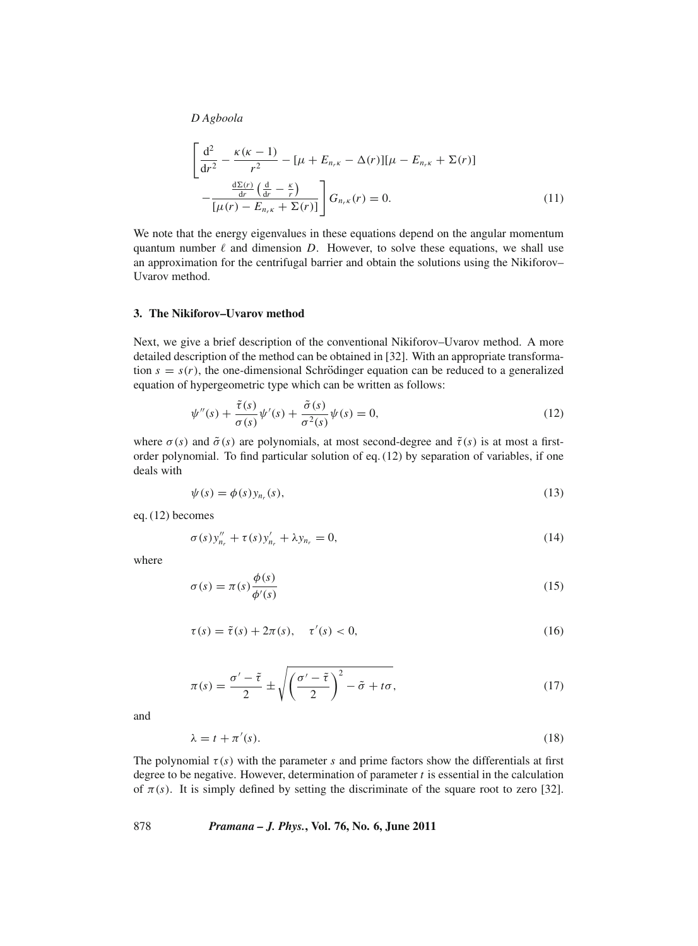$$
\left[\frac{d^2}{dr^2} - \frac{\kappa(\kappa - 1)}{r^2} - [\mu + E_{n,\kappa} - \Delta(r)][\mu - E_{n,\kappa} + \Sigma(r)] - \frac{\frac{d\Sigma(r)}{dr} \left(\frac{d}{dr} - \frac{\kappa}{r}\right)}{[\mu(r) - E_{n,\kappa} + \Sigma(r)]}\right] G_{n,\kappa}(r) = 0.
$$
\n(11)

We note that the energy eigenvalues in these equations depend on the angular momentum quantum number  $\ell$  and dimension *D*. However, to solve these equations, we shall use an approximation for the centrifugal barrier and obtain the solutions using the Nikiforov– Uvarov method.

#### **3. The Nikiforov–Uvarov method**

Next, we give a brief description of the conventional Nikiforov–Uvarov method. A more detailed description of the method can be obtained in [32]. With an appropriate transformation  $s = s(r)$ , the one-dimensional Schrödinger equation can be reduced to a generalized equation of hypergeometric type which can be written as follows:

$$
\psi''(s) + \frac{\tilde{\tau}(s)}{\sigma(s)} \psi'(s) + \frac{\tilde{\sigma}(s)}{\sigma^2(s)} \psi(s) = 0,
$$
\n(12)

where  $\sigma(s)$  and  $\tilde{\sigma}(s)$  are polynomials, at most second-degree and  $\tilde{\tau}(s)$  is at most a firstorder polynomial. To find particular solution of eq. (12) by separation of variables, if one deals with

$$
\psi(s) = \phi(s) y_{n_r}(s),\tag{13}
$$

eq. (12) becomes

$$
\sigma(s)y''_{n_r} + \tau(s)y'_{n_r} + \lambda y_{n_r} = 0, \tag{14}
$$

where

$$
\sigma(s) = \pi(s) \frac{\phi(s)}{\phi'(s)}
$$
\n(15)

$$
\tau(s) = \tilde{\tau}(s) + 2\pi(s), \quad \tau'(s) < 0,\tag{16}
$$

$$
\pi(s) = \frac{\sigma' - \tilde{\tau}}{2} \pm \sqrt{\left(\frac{\sigma' - \tilde{\tau}}{2}\right)^2 - \tilde{\sigma} + t\sigma},\tag{17}
$$

and

$$
\lambda = t + \pi'(s). \tag{18}
$$

The polynomial  $\tau(s)$  with the parameter *s* and prime factors show the differentials at first degree to be negative. However, determination of parameter *t* is essential in the calculation of  $\pi(s)$ . It is simply defined by setting the discriminate of the square root to zero [32].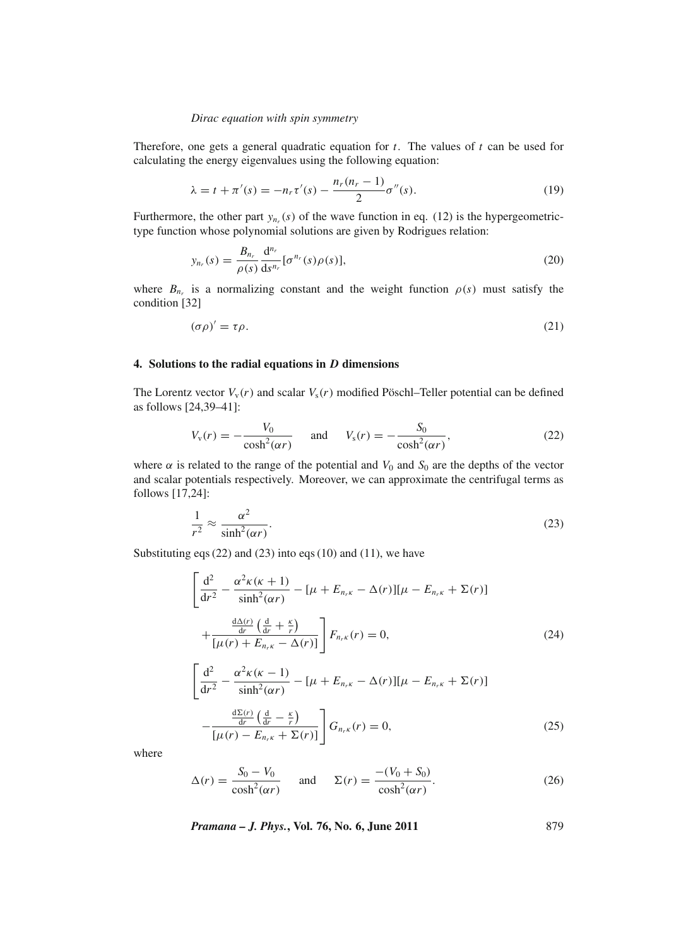Therefore, one gets a general quadratic equation for *t*. The values of *t* can be used for calculating the energy eigenvalues using the following equation:

$$
\lambda = t + \pi'(s) = -n_r \tau'(s) - \frac{n_r(n_r - 1)}{2} \sigma''(s).
$$
 (19)

Furthermore, the other part  $y_{n_r}(s)$  of the wave function in eq. (12) is the hypergeometrictype function whose polynomial solutions are given by Rodrigues relation:

$$
y_{n_r}(s) = \frac{B_{n_r}}{\rho(s)} \frac{d^{n_r}}{ds^{n_r}} [\sigma^{n_r}(s)\rho(s)],
$$
\n(20)

where  $B_{n_r}$  is a normalizing constant and the weight function  $\rho(s)$  must satisfy the condition [32]

$$
(\sigma \rho)' = \tau \rho. \tag{21}
$$

#### **4. Solutions to the radial equations in** *D* **dimensions**

The Lorentz vector  $V_v(r)$  and scalar  $V_s(r)$  modified Pöschl–Teller potential can be defined as follows [24,39–41]:

$$
V_{v}(r) = -\frac{V_{0}}{\cosh^{2}(\alpha r)} \quad \text{and} \quad V_{s}(r) = -\frac{S_{0}}{\cosh^{2}(\alpha r)}, \tag{22}
$$

where  $\alpha$  is related to the range of the potential and  $V_0$  and  $S_0$  are the depths of the vector and scalar potentials respectively. Moreover, we can approximate the centrifugal terms as follows [17,24]:

$$
\frac{1}{r^2} \approx \frac{\alpha^2}{\sinh^2(\alpha r)}.
$$
\n(23)

Substituting eqs  $(22)$  and  $(23)$  into eqs  $(10)$  and  $(11)$ , we have

 $[\mu(r) - E_{n_r\kappa} + \Sigma(r)]$ 

$$
\left[\frac{d^2}{dr^2} - \frac{\alpha^2 \kappa(\kappa + 1)}{\sinh^2(\alpha r)} - [\mu + E_{n_r \kappa} - \Delta(r)][\mu - E_{n_r \kappa} + \Sigma(r)] + \frac{\frac{d\Delta(r)}{dr} \left(\frac{d}{dr} + \frac{\kappa}{r}\right)}{[\mu(r) + E_{n_r \kappa} - \Delta(r)]}\right] F_{n_r \kappa}(r) = 0,
$$
\n(24)

$$
\frac{d^2}{dr^2} - \frac{\alpha^2 \kappa (\kappa - 1)}{\sinh^2(\alpha r)} - [\mu + E_{n_r \kappa} - \Delta(r)][\mu - E_{n_r \kappa} + \Sigma(r)]
$$

$$
-\frac{\frac{d\Sigma(r)}{dr} \left(\frac{d}{dr} - \frac{\kappa}{r}\right)}{\Gamma(\kappa)} \left| G_{n_r \kappa}(r) = 0, \tag{25}
$$

where

$$
\Delta(r) = \frac{S_0 - V_0}{\cosh^2(\alpha r)} \quad \text{and} \quad \Sigma(r) = \frac{-(V_0 + S_0)}{\cosh^2(\alpha r)}.
$$
 (26)

*Pramana – J. Phys.***, Vol. 76, No. 6, June 2011** 879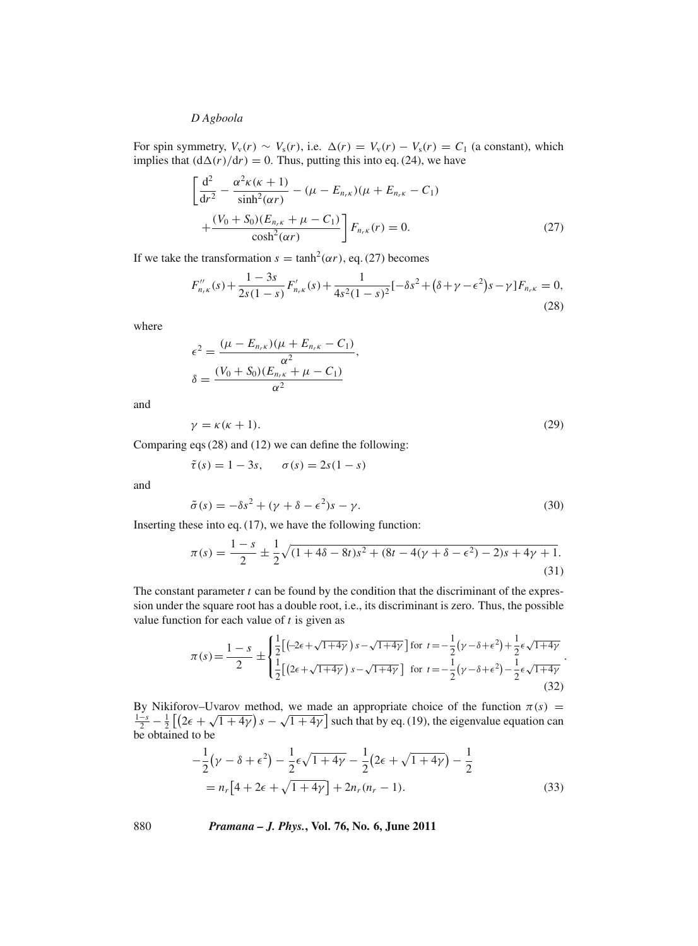For spin symmetry,  $V_v(r) \sim V_s(r)$ , i.e.  $\Delta(r) = V_v(r) - V_s(r) = C_1$  (a constant), which implies that  $(d\Delta(r)/dr) = 0$ . Thus, putting this into eq. (24), we have

$$
\left[\frac{d^2}{dr^2} - \frac{\alpha^2 \kappa (\kappa + 1)}{\sinh^2(\alpha r)} - (\mu - E_{n_r \kappa})(\mu + E_{n_r \kappa} - C_1) + \frac{(V_0 + S_0)(E_{n_r \kappa} + \mu - C_1)}{\cosh^2(\alpha r)}\right] F_{n_r \kappa}(r) = 0.
$$
\n(27)

If we take the transformation  $s = \tanh^2(\alpha r)$ , eq. (27) becomes

$$
F_{n,\kappa}''(s) + \frac{1-3s}{2s(1-s)} F_{n,\kappa}'(s) + \frac{1}{4s^2(1-s)^2} [-\delta s^2 + (\delta + \gamma - \epsilon^2)s - \gamma] F_{n,\kappa} = 0,
$$
\n(28)

where

$$
\epsilon^{2} = \frac{(\mu - E_{n_{r}\kappa})(\mu + E_{n_{r}\kappa} - C_{1})}{\alpha^{2}},
$$
  

$$
\delta = \frac{(V_{0} + S_{0})(E_{n_{r}\kappa} + \mu - C_{1})}{\alpha^{2}}
$$

and

$$
\gamma = \kappa(\kappa + 1). \tag{29}
$$

Comparing eqs (28) and (12) we can define the following:

$$
\tilde{\tau}(s) = 1 - 3s, \quad \sigma(s) = 2s(1 - s)
$$

and

$$
\tilde{\sigma}(s) = -\delta s^2 + (\gamma + \delta - \epsilon^2)s - \gamma.
$$
\n(30)

Inserting these into eq. (17), we have the following function:

$$
\pi(s) = \frac{1-s}{2} \pm \frac{1}{2} \sqrt{(1+4\delta - 8t)s^2 + (8t - 4(\gamma + \delta - \epsilon^2) - 2)s + 4\gamma + 1}.
$$
\n(31)

The constant parameter *t* can be found by the condition that the discriminant of the expression under the square root has a double root, i.e., its discriminant is zero. Thus, the possible value function for each value of *t* is given as

$$
\pi(s) = \frac{1-s}{2} \pm \begin{cases} \frac{1}{2} \left[ \left( -2\epsilon + \sqrt{1+4\gamma} \right) s - \sqrt{1+4\gamma} \right] \text{ for } t = -\frac{1}{2} \left( \gamma - \delta + \epsilon^2 \right) + \frac{1}{2} \epsilon \sqrt{1+4\gamma} \\ \frac{1}{2} \left[ \left( 2\epsilon + \sqrt{1+4\gamma} \right) s - \sqrt{1+4\gamma} \right] \text{ for } t = -\frac{1}{2} \left( \gamma - \delta + \epsilon^2 \right) - \frac{1}{2} \epsilon \sqrt{1+4\gamma} \end{cases}
$$
(32)

.

By Nikiforov–Uvarov method, we made an appropriate choice of the function  $\pi(s)$  = By INKHOLOV-OVALOV method, we made an appropriate choice of the function  $\pi(s) = \frac{1-s}{2} - \frac{1}{2} \left[ (2\epsilon + \sqrt{1+4\gamma}) s - \sqrt{1+4\gamma} \right]$  such that by eq. (19), the eigenvalue equation can be obtained to be

$$
-\frac{1}{2}(\gamma - \delta + \epsilon^2) - \frac{1}{2}\epsilon\sqrt{1 + 4\gamma} - \frac{1}{2}(2\epsilon + \sqrt{1 + 4\gamma}) - \frac{1}{2}
$$
  
=  $n_r[4 + 2\epsilon + \sqrt{1 + 4\gamma}] + 2n_r(n_r - 1).$  (33)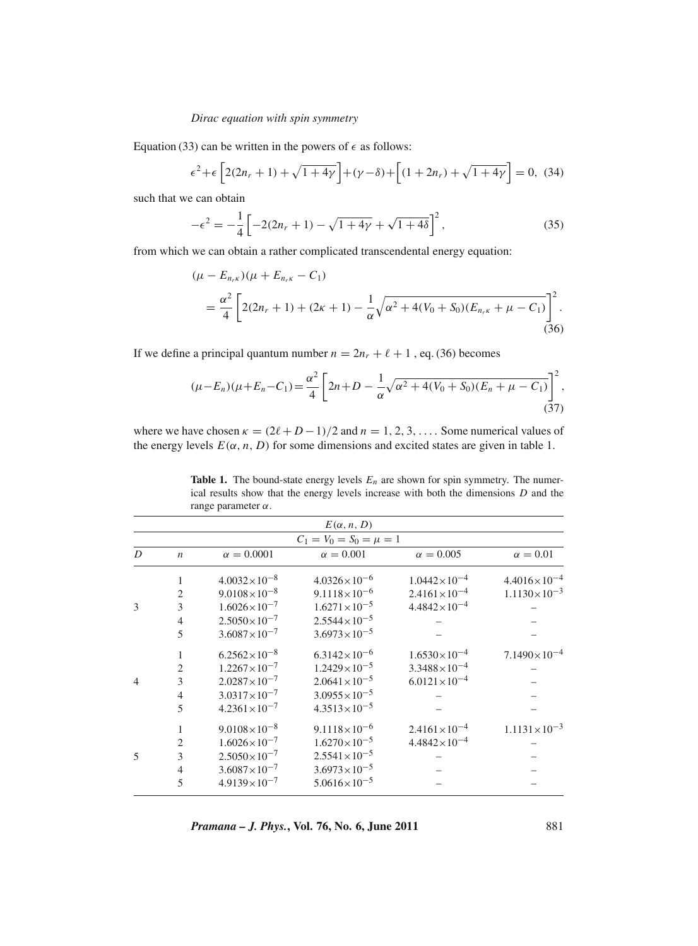Equation (33) can be written in the powers of  $\epsilon$  as follows:

$$
\epsilon^2 + \epsilon \left[ 2(2n_r + 1) + \sqrt{1 + 4\gamma} \right] + (\gamma - \delta) + \left[ (1 + 2n_r) + \sqrt{1 + 4\gamma} \right] = 0, (34)
$$

such that we can obtain

$$
-\epsilon^2 = -\frac{1}{4} \left[ -2(2n_r + 1) - \sqrt{1 + 4\gamma} + \sqrt{1 + 4\delta} \right]^2, \tag{35}
$$

from which we can obtain a rather complicated transcendental energy equation:

$$
(\mu - E_{n_r\kappa})(\mu + E_{n_r\kappa} - C_1)
$$
  
=  $\frac{\alpha^2}{4} \left[ 2(2n_r + 1) + (2\kappa + 1) - \frac{1}{\alpha} \sqrt{\alpha^2 + 4(V_0 + S_0)(E_{n_r\kappa} + \mu - C_1)} \right]^2$ . (36)

If we define a principal quantum number  $n = 2n_r + \ell + 1$ , eq. (36) becomes

$$
(\mu - E_n)(\mu + E_n - C_1) = \frac{\alpha^2}{4} \left[ 2n + D - \frac{1}{\alpha} \sqrt{\alpha^2 + 4(V_0 + S_0)(E_n + \mu - C_1)} \right]^2,
$$
\n(37)

where we have chosen  $\kappa = (2\ell + D - 1)/2$  and  $n = 1, 2, 3, \ldots$ . Some numerical values of the energy levels  $E(\alpha, n, D)$  for some dimensions and excited states are given in table 1.

| $\ldots$                    |                  |                         |                         |                         |                         |
|-----------------------------|------------------|-------------------------|-------------------------|-------------------------|-------------------------|
|                             |                  |                         | $E(\alpha, n, D)$       |                         |                         |
| $C_1 = V_0 = S_0 = \mu = 1$ |                  |                         |                         |                         |                         |
| D                           | $\boldsymbol{n}$ | $\alpha = 0.0001$       | $\alpha = 0.001$        | $\alpha = 0.005$        | $\alpha=0.01$           |
|                             | $\mathbf{1}$     | $4.0032\times10^{-8}$   | $4.0326 \times 10^{-6}$ | $1.0442\times10^{-4}$   | $4.4016 \times 10^{-4}$ |
|                             | $\mathfrak{2}$   | $9.0108\times10^{-8}$   | $9.1118\times10^{-6}$   | $2.4161 \times 10^{-4}$ | $1.1130\times10^{-3}$   |
| 3                           | 3                | $1.6026 \times 10^{-7}$ | $1.6271 \times 10^{-5}$ | $4.4842\times10^{-4}$   |                         |
|                             | $\overline{4}$   | $2.5050\times10^{-7}$   | $2.5544 \times 10^{-5}$ |                         |                         |
|                             | 5                | $3.6087\times10^{-7}$   | $3.6973 \times 10^{-5}$ |                         |                         |
|                             | 1                | $6.2562\times10^{-8}$   | $6.3142\times10^{-6}$   | $1.6530\times10^{-4}$   | $7.1490\times10^{-4}$   |
|                             | $\overline{2}$   | $1.2267\times10^{-7}$   | $1.2429 \times 10^{-5}$ | $3.3488 \times 10^{-4}$ |                         |
| $\overline{4}$              | 3                | $2.0287\times10^{-7}$   | $2.0641 \times 10^{-5}$ | $6.0121 \times 10^{-4}$ |                         |
|                             | $\overline{4}$   | $3.0317\times10^{-7}$   | $3.0955 \times 10^{-5}$ |                         |                         |
|                             | 5                | $4.2361 \times 10^{-7}$ | $4.3513\times10^{-5}$   |                         |                         |
|                             | $\mathbf{1}$     | $9.0108\times10^{-8}$   | $9.1118\times10^{-6}$   | $2.4161 \times 10^{-4}$ | $1.1131 \times 10^{-3}$ |
|                             | $\overline{2}$   | $1.6026 \times 10^{-7}$ | $1.6270\times10^{-5}$   | $4.4842\times10^{-4}$   |                         |
| 5                           | 3                | $2.5050\times10^{-7}$   | $2.5541 \times 10^{-5}$ |                         |                         |
|                             | $\overline{4}$   | $3.6087\times10^{-7}$   | $3.6973 \times 10^{-5}$ |                         |                         |
|                             | 5                | $4.9139 \times 10^{-7}$ | $5.0616\times10^{-5}$   |                         |                         |
|                             |                  |                         |                         |                         |                         |

**Table 1.** The bound-state energy levels  $E_n$  are shown for spin symmetry. The numerical results show that the energy levels increase with both the dimensions *D* and the range parameter  $\alpha$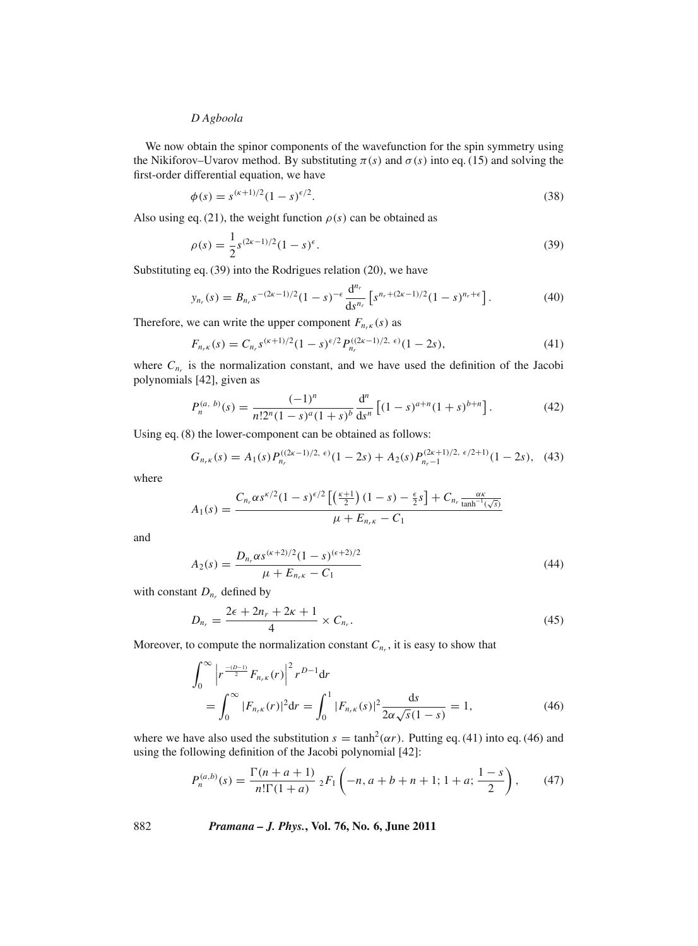We now obtain the spinor components of the wavefunction for the spin symmetry using the Nikiforov–Uvarov method. By substituting  $\pi(s)$  and  $\sigma(s)$  into eq. (15) and solving the first-order differential equation, we have

$$
\phi(s) = s^{(\kappa+1)/2} (1-s)^{\epsilon/2}.
$$
\n(38)

Also using eq. (21), the weight function  $\rho(s)$  can be obtained as

$$
\rho(s) = \frac{1}{2} s^{(2\kappa - 1)/2} (1 - s)^{\epsilon}.
$$
\n(39)

Substituting eq. (39) into the Rodrigues relation (20), we have

$$
y_{n_r}(s) = B_{n_r} s^{-(2\kappa - 1)/2} (1 - s)^{-\epsilon} \frac{d^{n_r}}{ds^{n_r}} \left[ s^{n_r + (2\kappa - 1)/2} (1 - s)^{n_r + \epsilon} \right]. \tag{40}
$$

Therefore, we can write the upper component  $F_{n_r}$  (*s*) as

$$
F_{n_r\kappa}(s) = C_{n_r} s^{(\kappa+1)/2} (1-s)^{\epsilon/2} P_{n_r}^{((2\kappa-1)/2, \epsilon)} (1-2s), \tag{41}
$$

where  $C_{n_r}$  is the normalization constant, and we have used the definition of the Jacobi polynomials [42], given as

$$
P_n^{(a, b)}(s) = \frac{(-1)^n}{n!2^n(1-s)^a(1+s)^b} \frac{d^n}{ds^n} \left[ (1-s)^{a+n} (1+s)^{b+n} \right].
$$
 (42)

Using eq. (8) the lower-component can be obtained as follows:

$$
G_{n_r\kappa}(s) = A_1(s) P_{n_r}^{((2\kappa - 1)/2, \epsilon)}(1 - 2s) + A_2(s) P_{n_r - 1}^{(2\kappa + 1)/2, \epsilon/2 + 1)}(1 - 2s), \quad (43)
$$

where

$$
A_1(s) = \frac{C_{n_r} \alpha s^{\kappa/2} (1-s)^{\epsilon/2} \left[ \left( \frac{\kappa+1}{2} \right) (1-s) - \frac{\epsilon}{2} s \right] + C_{n_r} \frac{\alpha \kappa}{\tanh^{-1}(\sqrt{s})}}{\mu + E_{n_r \kappa} - C_1}
$$

and

$$
A_2(s) = \frac{D_{n_r} \alpha s^{(\kappa+2)/2} (1-s)^{(\epsilon+2)/2}}{\mu + E_{n_r \kappa} - C_1} \tag{44}
$$

with constant  $D_{n_r}$  defined by

$$
D_{n_r} = \frac{2\epsilon + 2n_r + 2\kappa + 1}{4} \times C_{n_r}.
$$
\n
$$
(45)
$$

Moreover, to compute the normalization constant  $C_{n_r}$ , it is easy to show that

$$
\int_0^\infty \left| r^{\frac{-(D-1)}{2}} F_{n,\kappa}(r) \right|^2 r^{D-1} dr
$$
\n
$$
= \int_0^\infty |F_{n,\kappa}(r)|^2 dr = \int_0^1 |F_{n,\kappa}(s)|^2 \frac{ds}{2\alpha\sqrt{s}(1-s)} = 1,
$$
\n(46)

where we have also used the substitution  $s = \tanh^2(\alpha r)$ . Putting eq. (41) into eq. (46) and using the following definition of the Jacobi polynomial [42]:

$$
P_n^{(a,b)}(s) = \frac{\Gamma(n+a+1)}{n!\Gamma(1+a)} \, {}_2F_1\left(-n, a+b+n+1; 1+a; \frac{1-s}{2}\right),\tag{47}
$$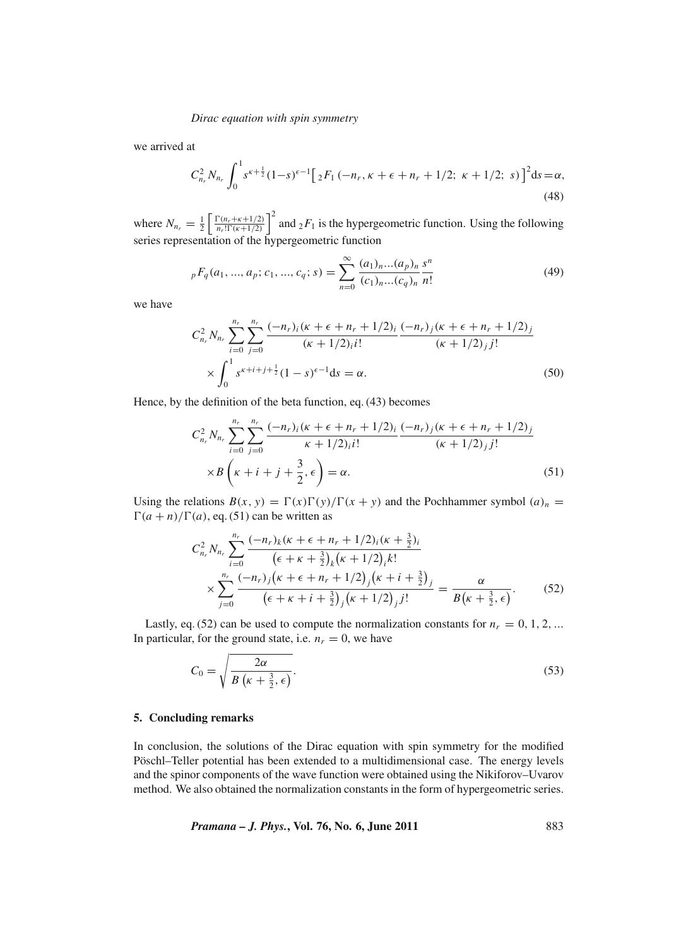we arrived at

$$
C_{n_r}^2 N_{n_r} \int_0^1 s^{\kappa + \frac{1}{2}} (1 - s)^{\epsilon - 1} \Big[ 2F_1 \left( -n_r, \kappa + \epsilon + n_r + 1/2; \ \kappa + 1/2; \ s \right) \Big]^2 ds = \alpha,
$$
\n(48)

where  $N_{n_r} = \frac{1}{2} \left[ \frac{\Gamma(n_r + \kappa + 1/2)}{n_r! \Gamma(\kappa + 1/2)} \right]$  $\left[\frac{\Gamma(n_r + \kappa + 1/2)}{n_r! \Gamma(\kappa + 1/2)}\right]^2$  and  ${}_2F_1$  is the hypergeometric function. Using the following series representation of the hypergeometric function

$$
{}_{p}F_{q}(a_{1},...,a_{p};c_{1},...,c_{q};s) = \sum_{n=0}^{\infty} \frac{(a_{1})_{n}...(a_{p})_{n}}{(c_{1})_{n}...(c_{q})_{n}} \frac{s^{n}}{n!}
$$
(49)

we have

$$
C_{n_r}^2 N_{n_r} \sum_{i=0}^{n_r} \sum_{j=0}^{n_r} \frac{(-n_r)_i (\kappa + \epsilon + n_r + 1/2)_i}{(\kappa + 1/2)_i i!} \frac{(-n_r)_j (\kappa + \epsilon + n_r + 1/2)_j}{(\kappa + 1/2)_j j!} \times \int_0^1 s^{\kappa + i + j + \frac{1}{2}} (1 - s)^{\epsilon - 1} ds = \alpha.
$$
 (50)

Hence, by the definition of the beta function, eq. (43) becomes

$$
C_{n_r}^2 N_{n_r} \sum_{i=0}^{n_r} \sum_{j=0}^{n_r} \frac{(-n_r)_i (\kappa + \epsilon + n_r + 1/2)_i}{\kappa + 1/2)_i i!} \frac{(-n_r)_j (\kappa + \epsilon + n_r + 1/2)_j}{(\kappa + 1/2)_j j!} \times B\left(\kappa + i + j + \frac{3}{2}, \epsilon\right) = \alpha.
$$
 (51)

Using the relations  $B(x, y) = \Gamma(x)\Gamma(y)/\Gamma(x + y)$  and the Pochhammer symbol  $(a)_n =$  $\Gamma(a + n)/\Gamma(a)$ , eq. (51) can be written as

$$
C_{n_r}^2 N_{n_r} \sum_{i=0}^{n_r} \frac{(-n_r)_k (\kappa + \epsilon + n_r + 1/2)_i (\kappa + \frac{3}{2})_i}{(\epsilon + \kappa + \frac{3}{2})_k (\kappa + 1/2)_i k!} \times \sum_{j=0}^{n_r} \frac{(-n_r)_j (\kappa + \epsilon + n_r + 1/2)_j (\kappa + i + \frac{3}{2})_j}{(\epsilon + \kappa + i + \frac{3}{2})_j (\kappa + 1/2)_j j!} = \frac{\alpha}{B(\kappa + \frac{3}{2}, \epsilon)}.
$$
 (52)

Lastly, eq. (52) can be used to compute the normalization constants for  $n_r = 0, 1, 2, \dots$ In particular, for the ground state, i.e.  $n_r = 0$ , we have

$$
C_0 = \sqrt{\frac{2\alpha}{B\left(\kappa + \frac{3}{2}, \epsilon\right)}}.\tag{53}
$$

#### **5. Concluding remarks**

In conclusion, the solutions of the Dirac equation with spin symmetry for the modified Pöschl–Teller potential has been extended to a multidimensional case. The energy levels and the spinor components of the wave function were obtained using the Nikiforov–Uvarov method. We also obtained the normalization constants in the form of hypergeometric series.

*Pramana – J. Phys.***, Vol. 76, No. 6, June 2011** 883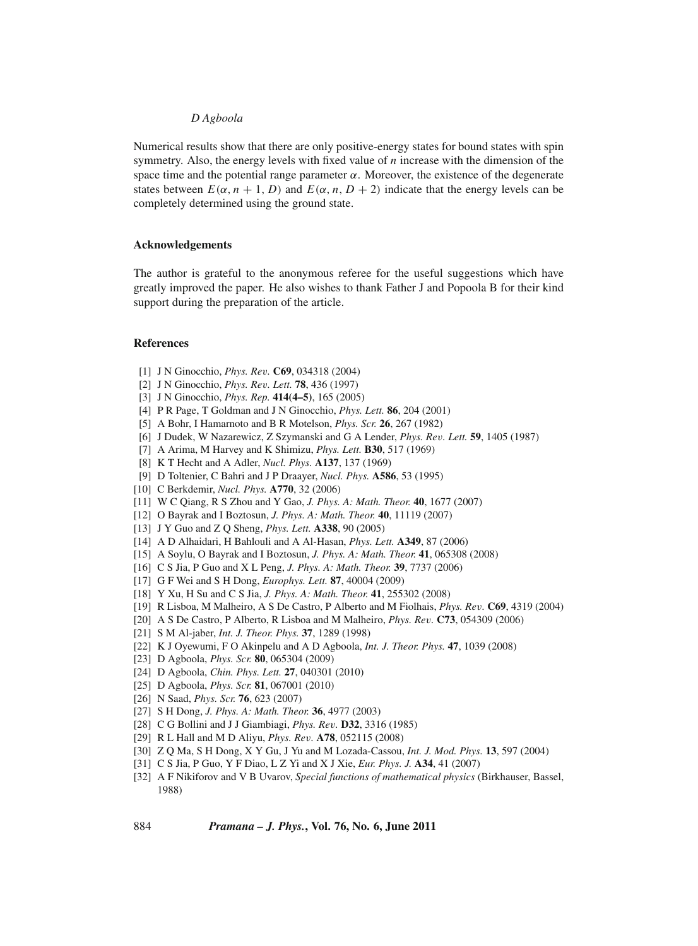Numerical results show that there are only positive-energy states for bound states with spin symmetry. Also, the energy levels with fixed value of *n* increase with the dimension of the space time and the potential range parameter  $\alpha$ . Moreover, the existence of the degenerate states between  $E(\alpha, n + 1, D)$  and  $E(\alpha, n, D + 2)$  indicate that the energy levels can be completely determined using the ground state.

#### **Acknowledgements**

The author is grateful to the anonymous referee for the useful suggestions which have greatly improved the paper. He also wishes to thank Father J and Popoola B for their kind support during the preparation of the article.

## **References**

- [1] J N Ginocchio, *Phys. Re*v*.* **C69**, 034318 (2004)
- [2] J N Ginocchio, *Phys. Re*v*. Lett.* **78**, 436 (1997)
- [3] J N Ginocchio, *Phys. Rep.* **414(4–5)**, 165 (2005)
- [4] P R Page, T Goldman and J N Ginocchio, *Phys. Lett.* **86**, 204 (2001)
- [5] A Bohr, I Hamarnoto and B R Motelson, *Phys. Scr.* **26**, 267 (1982)
- [6] J Dudek, W Nazarewicz, Z Szymanski and G A Lender, *Phys. Re*v*. Lett.* **59**, 1405 (1987)
- [7] A Arima, M Harvey and K Shimizu, *Phys. Lett.* **B30**, 517 (1969)
- [8] K T Hecht and A Adler, *Nucl. Phys.* **A137**, 137 (1969)
- [9] D Toltenier, C Bahri and J P Draayer, *Nucl. Phys.* **A586**, 53 (1995)
- [10] C Berkdemir, *Nucl. Phys.* **A770**, 32 (2006)
- [11] W C Qiang, R S Zhou and Y Gao, *J. Phys. A: Math. Theor.* **40**, 1677 (2007)
- [12] O Bayrak and I Boztosun, *J. Phys. A: Math. Theor.* **40**, 11119 (2007)
- [13] J Y Guo and Z Q Sheng, *Phys. Lett.* **A338**, 90 (2005)
- [14] A D Alhaidari, H Bahlouli and A Al-Hasan, *Phys. Lett.* **A349**, 87 (2006)
- [15] A Soylu, O Bayrak and I Boztosun, *J. Phys. A: Math. Theor.* **41**, 065308 (2008)
- [16] C S Jia, P Guo and X L Peng, *J. Phys. A: Math. Theor.* **39**, 7737 (2006)
- [17] G F Wei and S H Dong, *Europhys. Lett.* **87**, 40004 (2009)
- [18] Y Xu, H Su and C S Jia, *J. Phys. A: Math. Theor.* **41**, 255302 (2008)
- [19] R Lisboa, M Malheiro, A S De Castro, P Alberto and M Fiolhais, *Phys. Re*v*.* **C69**, 4319 (2004)
- [20] A S De Castro, P Alberto, R Lisboa and M Malheiro, *Phys. Re*v*.* **C73**, 054309 (2006)
- [21] S M Al-jaber, *Int. J. Theor. Phys.* **37**, 1289 (1998)
- [22] K J Oyewumi, F O Akinpelu and A D Agboola, *Int. J. Theor. Phys.* **47**, 1039 (2008)
- [23] D Agboola, *Phys. Scr.* **80**, 065304 (2009)
- [24] D Agboola, *Chin. Phys. Lett.* **27**, 040301 (2010)
- [25] D Agboola, *Phys. Scr.* **81**, 067001 (2010)
- [26] N Saad, *Phys. Scr.* **76**, 623 (2007)
- [27] S H Dong, *J. Phys. A: Math. Theor.* **36**, 4977 (2003)
- [28] C G Bollini and J J Giambiagi, *Phys. Re*v*.* **D32**, 3316 (1985)
- [29] R L Hall and M D Aliyu, *Phys. Re*v*.* **A78**, 052115 (2008)
- [30] Z Q Ma, S H Dong, X Y Gu, J Yu and M Lozada-Cassou, *Int. J. Mod. Phys.* **13**, 597 (2004)
- [31] C S Jia, P Guo, Y F Diao, L Z Yi and X J Xie, *Eur. Phys. J.* **A34**, 41 (2007)
- [32] A F Nikiforov and V B Uvarov, *Special functions of mathematical physics* (Birkhauser, Bassel, 1988)